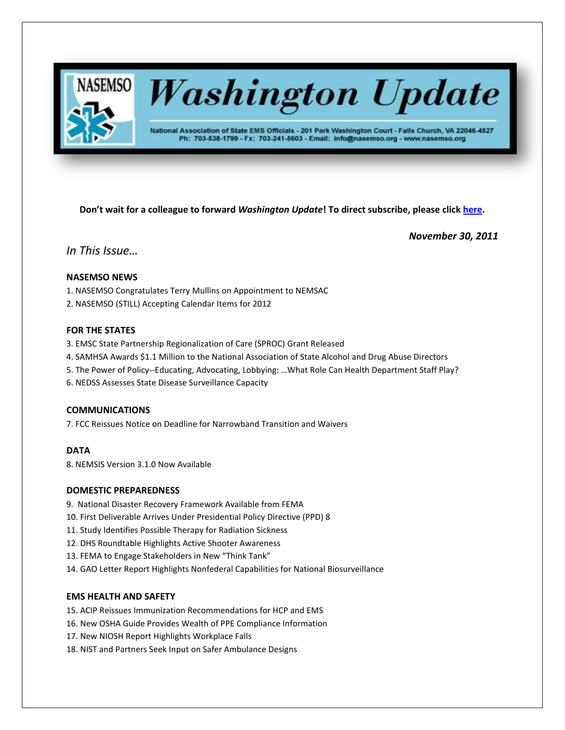

# **Washington Update**

National Association of State EMS Officials - 201 Park Washington Court - Falls Church, VA 22046-4527 Ph: 703-538-1799 - Fx: 703-241-5603 - Email: info@nasemso.org - www.nasemso.org

**Don't wait for a colleague to forward** *Washington Update***! To direct subscribe, please click [here.](http://lists.nasemso.org/read/all_forums/subscribe?name=wu%20)**

*November 30, 2011*

# *In This Issue…*

# **NASEMSO NEWS**

- 1. NASEMSO Congratulates Terry Mullins on Appointment to NEMSAC
- 2. NASEMSO (STILL) Accepting Calendar Items for 2012

# **FOR THE STATES**

- 3. EMSC State Partnership Regionalization of Care (SPROC) Grant Released
- 4. SAMHSA Awards \$1.1 Million to the National Association of State Alcohol and Drug Abuse Directors
- 5. The Power of Policy--Educating, Advocating, Lobbying: …What Role Can Health Department Staff Play?
- 6. NEDSS Assesses State Disease Surveillance Capacity

# **COMMUNICATIONS**

7. FCC Reissues Notice on Deadline for Narrowband Transition and Waivers

# **DATA**

8. NEMSIS Version 3.1.0 Now Available

# **DOMESTIC PREPAREDNESS**

- 9. National Disaster Recovery Framework Available from FEMA
- 10. First Deliverable Arrives Under Presidential Policy Directive (PPD) 8
- 11. Study Identifies Possible Therapy for Radiation Sickness
- 12. DHS Roundtable Highlights Active Shooter Awareness
- 13. FEMA to Engage Stakeholders in New "Think Tank"
- 14. GAO Letter Report Highlights Nonfederal Capabilities for National Biosurveillance

# **EMS HEALTH AND SAFETY**

- 15. ACIP Reissues Immunization Recommendations for HCP and EMS
- 16. New OSHA Guide Provides Wealth of PPE Compliance Information
- 17. New NIOSH Report Highlights Workplace Falls
- 18. NIST and Partners Seek Input on Safer Ambulance Designs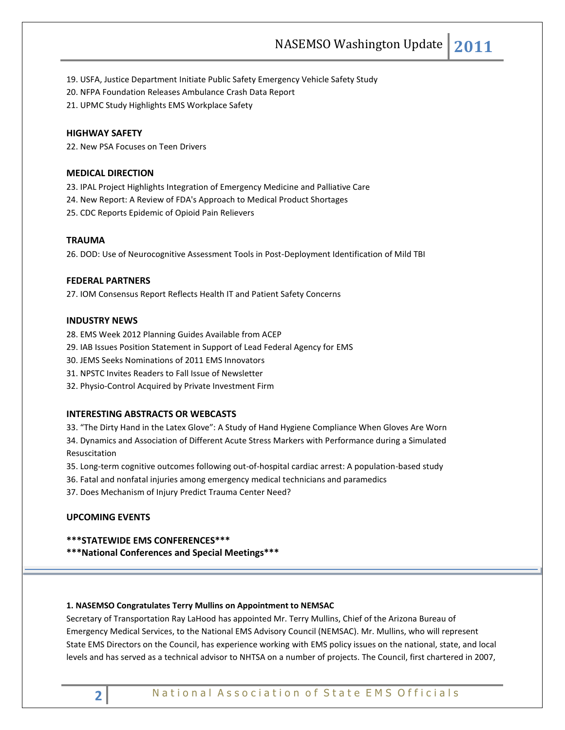19. USFA, Justice Department Initiate Public Safety Emergency Vehicle Safety Study

- 20. NFPA Foundation Releases Ambulance Crash Data Report
- 21. UPMC Study Highlights EMS Workplace Safety

# **HIGHWAY SAFETY**

22. New PSA Focuses on Teen Drivers

# **MEDICAL DIRECTION**

23. IPAL Project Highlights Integration of Emergency Medicine and Palliative Care

- 24. New Report: A Review of FDA's Approach to Medical Product Shortages
- 25. CDC Reports Epidemic of Opioid Pain Relievers

# **TRAUMA**

26. DOD: Use of Neurocognitive Assessment Tools in Post-Deployment Identification of Mild TBI

# **FEDERAL PARTNERS**

27. IOM Consensus Report Reflects Health IT and Patient Safety Concerns

# **INDUSTRY NEWS**

28. EMS Week 2012 Planning Guides Available from ACEP

- 29. IAB Issues Position Statement in Support of Lead Federal Agency for EMS
- 30. JEMS Seeks Nominations of 2011 EMS Innovators
- 31. NPSTC Invites Readers to Fall Issue of Newsletter
- 32. Physio-Control Acquired by Private Investment Firm

# **INTERESTING ABSTRACTS OR WEBCASTS**

33. "The Dirty Hand in the Latex Glove": A Study of Hand Hygiene Compliance When Gloves Are Worn 34. Dynamics and Association of Different Acute Stress Markers with Performance during a Simulated Resuscitation

- 35. Long-term cognitive outcomes following out-of-hospital cardiac arrest: A population-based study
- 36. Fatal and nonfatal injuries among emergency medical technicians and paramedics
- 37. Does Mechanism of Injury Predict Trauma Center Need?

# **UPCOMING EVENTS**

- **\*\*\*STATEWIDE EMS CONFERENCES\*\*\***
- **\*\*\*National Conferences and Special Meetings\*\*\***

# **1. NASEMSO Congratulates Terry Mullins on Appointment to NEMSAC**

Secretary of Transportation Ray LaHood has appointed Mr. Terry Mullins, Chief of the Arizona Bureau of Emergency Medical Services, to the National EMS Advisory Council (NEMSAC). Mr. Mullins, who will represent State EMS Directors on the Council, has experience working with EMS policy issues on the national, state, and local levels and has served as a technical advisor to NHTSA on a number of projects. The Council, first chartered in 2007,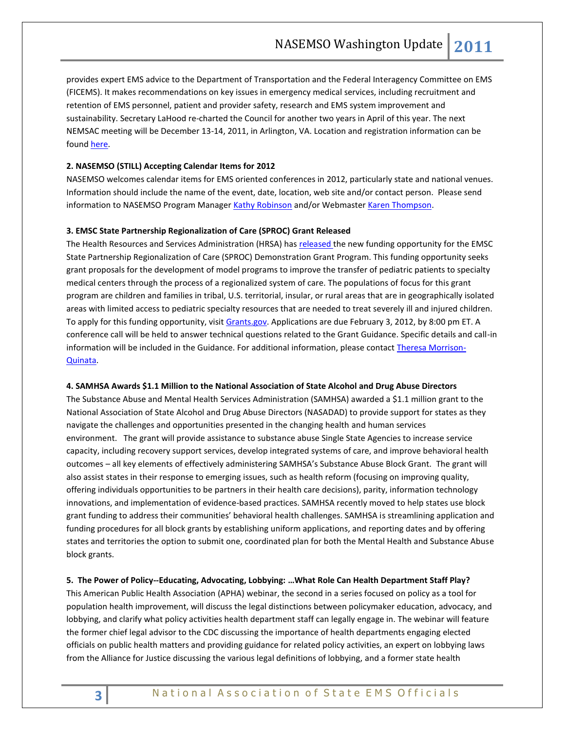provides expert EMS advice to the Department of Transportation and the Federal Interagency Committee on EMS (FICEMS). It makes recommendations on key issues in emergency medical services, including recruitment and retention of EMS personnel, patient and provider safety, research and EMS system improvement and sustainability. Secretary LaHood re-charted the Council for another two years in April of this year. The next NEMSAC meeting will be December 13-14, 2011, in Arlington, VA. Location and registration information can be foun[d here.](http://ems.gov/pdf/nemsac/Dec2011_NEMSAC_Meeting.pdf)

# **2. NASEMSO (STILL) Accepting Calendar Items for 2012**

NASEMSO welcomes calendar items for EMS oriented conferences in 2012, particularly state and national venues. Information should include the name of the event, date, location, web site and/or contact person. Please send information to NASEMSO Program Manager [Kathy Robinson](mailto:robinson@nasemso.org) and/or Webmaster [Karen Thompson.](mailto:thompson@nasemso.org)

# **3. EMSC State Partnership Regionalization of Care (SPROC) Grant Released**

The Health Resources and Services Administration (HRSA) has [released t](http://click.bsftransmit1.com/ClickThru.aspx?pubids=8731%7c7378%7c703%7c702&digest=voVOcnY2xdqDQ9QC2qNHqA&sysid=1)he new funding opportunity for the EMSC State Partnership Regionalization of Care (SPROC) Demonstration Grant Program. This funding opportunity seeks grant proposals for the development of model programs to improve the transfer of pediatric patients to specialty medical centers through the process of a regionalized system of care. The populations of focus for this grant program are children and families in tribal, U.S. territorial, insular, or rural areas that are in geographically isolated areas with limited access to pediatric specialty resources that are needed to treat severely ill and injured children. To apply for this funding opportunity, visit [Grants.gov.](http://click.bsftransmit1.com/ClickThru.aspx?pubids=8731%7c7379%7c703%7c702&digest=oDOrQh6i5TXFlHn35RL3PQ&sysid=1) Applications are due February 3, 2012, by 8:00 pm ET. A conference call will be held to answer technical questions related to the Grant Guidance. Specific details and call-in information will be included in the Guidance. For additional information, please contact [Theresa Morrison-](mailto:TMorrison-Quinata@hrsa.gov)[Quinata.](mailto:TMorrison-Quinata@hrsa.gov)

#### **4. SAMHSA Awards \$1.1 Million to the National Association of State Alcohol and Drug Abuse Directors**

The Substance Abuse and Mental Health Services Administration (SAMHSA) awarded a \$1.1 million grant to the National Association of State Alcohol and Drug Abuse Directors (NASADAD) to provide support for states as they navigate the challenges and opportunities presented in the changing health and human services environment. The grant will provide assistance to substance abuse Single State Agencies to increase service capacity, including recovery support services, develop integrated systems of care, and improve behavioral health outcomes – all key elements of effectively administering SAMHSA's Substance Abuse Block Grant. The grant will also assist states in their response to emerging issues, such as health reform (focusing on improving quality, offering individuals opportunities to be partners in their health care decisions), parity, information technology innovations, and implementation of evidence-based practices. SAMHSA recently moved to help states use block grant funding to address their communities' behavioral health challenges. SAMHSA is streamlining application and funding procedures for all block grants by establishing uniform applications, and reporting dates and by offering states and territories the option to submit one, coordinated plan for both the Mental Health and Substance Abuse block grants.

# **5. The Power of Policy--Educating, Advocating, Lobbying: …What Role Can Health Department Staff Play?**

This American Public Health Association (APHA) webinar, the second in a series focused on policy as a tool for population health improvement, will discuss the legal distinctions between policymaker education, advocacy, and lobbying, and clarify what policy activities health department staff can legally engage in. The webinar will feature the former chief legal advisor to the CDC discussing the importance of health departments engaging elected officials on public health matters and providing guidance for related policy activities, an expert on lobbying laws from the Alliance for Justice discussing the various legal definitions of lobbying, and a former state health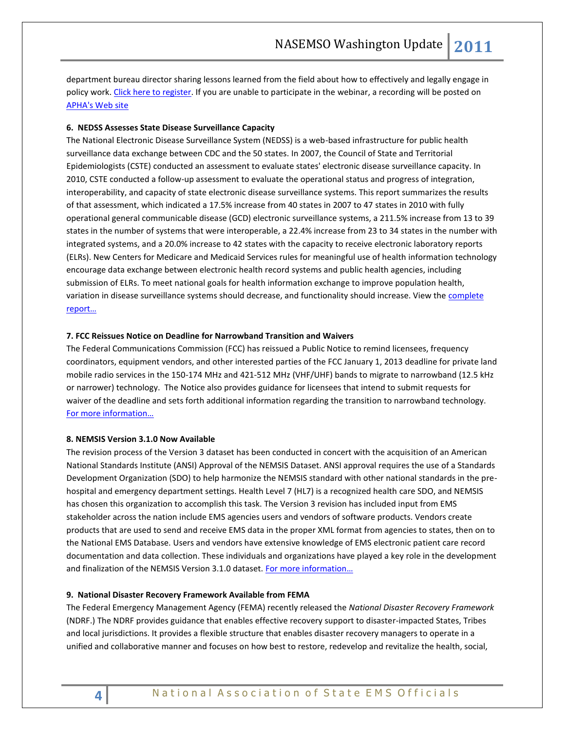department bureau director sharing lessons learned from the field about how to effectively and legally engage in policy work[. Click here to register.](https://apha.webex.com/) If you are unable to participate in the webinar, a recording will be posted on [APHA's Web site](http://www.apha.org/programs/cba/CBA/webinars/)

# **6. NEDSS Assesses State Disease Surveillance Capacity**

The National Electronic Disease Surveillance System (NEDSS) is a web-based infrastructure for public health surveillance data exchange between CDC and the 50 states. In 2007, the Council of State and Territorial Epidemiologists (CSTE) conducted an assessment to evaluate states' electronic disease surveillance capacity. In 2010, CSTE conducted a follow-up assessment to evaluate the operational status and progress of integration, interoperability, and capacity of state electronic disease surveillance systems. This report summarizes the results of that assessment, which indicated a 17.5% increase from 40 states in 2007 to 47 states in 2010 with fully operational general communicable disease (GCD) electronic surveillance systems, a 211.5% increase from 13 to 39 states in the number of systems that were interoperable, a 22.4% increase from 23 to 34 states in the number with integrated systems, and a 20.0% increase to 42 states with the capacity to receive electronic laboratory reports (ELRs). New Centers for Medicare and Medicaid Services rules for meaningful use of health information technology encourage data exchange between electronic health record systems and public health agencies, including submission of ELRs. To meet national goals for health information exchange to improve population health, variation in disease surveillance systems should decrease, and functionality should increase. View the complete [report…](http://www.cdc.gov/mmwr/preview/mmwrhtml/mm6041a3.htm?s_cid=mm6041a3_w)

# **7. FCC Reissues Notice on Deadline for Narrowband Transition and Waivers**

The Federal Communications Commission (FCC) has reissued a Public Notice to remind licensees, frequency coordinators, equipment vendors, and other interested parties of the FCC January 1, 2013 deadline for private land mobile radio services in the 150-174 MHz and 421-512 MHz (VHF/UHF) bands to migrate to narrowband (12.5 kHz or narrower) technology. The Notice also provides guidance for licensees that intend to submit requests for waiver of the deadline and sets forth additional information regarding the transition to narrowband technology. [For more information…](http://www.nasemso.org/Projects/CommunicationsTechnology)

# **8. NEMSIS Version 3.1.0 Now Available**

The revision process of the Version 3 dataset has been conducted in concert with the acquisition of an American National Standards Institute (ANSI) Approval of the NEMSIS Dataset. ANSI approval requires the use of a Standards Development Organization (SDO) to help harmonize the NEMSIS standard with other national standards in the prehospital and emergency department settings. Health Level 7 (HL7) is a recognized health care SDO, and NEMSIS has chosen this organization to accomplish this task. The Version 3 revision has included input from EMS stakeholder across the nation include EMS agencies users and vendors of software products. Vendors create products that are used to send and receive EMS data in the proper XML format from agencies to states, then on to the National EMS Database. Users and vendors have extensive knowledge of EMS electronic patient care record documentation and data collection. These individuals and organizations have played a key role in the development and finalization of the NEMSIS Version 3.1.0 dataset. [For more information](http://nemsis.org/v3/overview.html)…

#### **9. National Disaster Recovery Framework Available from FEMA**

The Federal Emergency Management Agency (FEMA) recently released the *National Disaster Recovery Framework* (NDRF.) The NDRF provides guidance that enables effective recovery support to disaster-impacted States, Tribes and local jurisdictions. It provides a flexible structure that enables disaster recovery managers to operate in a unified and collaborative manner and focuses on how best to restore, redevelop and revitalize the health, social,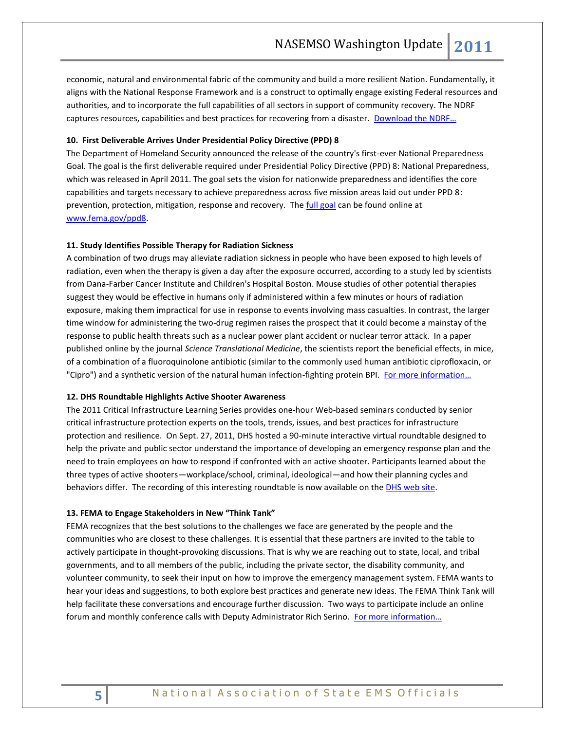economic, natural and environmental fabric of the community and build a more resilient Nation. Fundamentally, it aligns with the National Response Framework and is a construct to optimally engage existing Federal resources and authorities, and to incorporate the full capabilities of all sectors in support of community recovery. The NDRF captures resources, capabilities and best practices for recovering from a disaster. [Download the NDRF…](http://www.fema.gov/pdf/recoveryframework/ndrf.pdf)

# **10. First Deliverable Arrives Under Presidential Policy Directive (PPD) 8**

The Department of Homeland Security announced the release of the country's first-ever National Preparedness Goal. The goal is the first deliverable required under Presidential Policy Directive (PPD) 8: National Preparedness, which was released in April 2011. The goal sets the vision for nationwide preparedness and identifies the core capabilities and targets necessary to achieve preparedness across five mission areas laid out under PPD 8: prevention, protection, mitigation, response and recovery. The [full goal](http://www.fema.gov/pdf/prepared/npg.pdf) can be found online at [www.fema.gov/ppd8.](http://www.fema.gov/ppd8)

#### **11. Study Identifies Possible Therapy for Radiation Sickness**

A combination of two drugs may alleviate radiation sickness in people who have been exposed to high levels of radiation, even when the therapy is given a day after the exposure occurred, according to a study led by scientists from Dana-Farber Cancer Institute and Children's Hospital Boston. Mouse studies of other potential therapies suggest they would be effective in humans only if administered within a few minutes or hours of radiation exposure, making them impractical for use in response to events involving mass casualties. In contrast, the larger time window for administering the two-drug regimen raises the prospect that it could become a mainstay of the response to public health threats such as a nuclear power plant accident or nuclear terror attack. In a paper published online by the journal *Science Translational Medicine*, the scientists report the beneficial effects, in mice, of a combination of a fluoroquinolone antibiotic (similar to the commonly used human antibiotic ciprofloxacin, or "Cipro") and a synthetic version of the natural human infection-fighting protein BPI. [For more information…](http://www.dana-farber.org/Newsroom/News-Releases/Study-identifies-possible-therapy-for-radiation-sickness.aspx)

### **12. DHS Roundtable Highlights Active Shooter Awareness**

The 2011 Critical Infrastructure Learning Series provides one-hour Web-based seminars conducted by senior critical infrastructure protection experts on the tools, trends, issues, and best practices for infrastructure protection and resilience. On Sept. 27, 2011, DHS hosted a 90-minute interactive virtual roundtable designed to help the private and public sector understand the importance of developing an emergency response plan and the need to train employees on how to respond if confronted with an active shooter. Participants learned about the three types of active shooters—workplace/school, criminal, ideological—and how their planning cycles and behaviors differ. The recording of this interesting roundtable is now available on the [DHS web site.](https://connect.hsin.gov/asaware2011)

#### **13. FEMA to Engage Stakeholders in New "Think Tank"**

FEMA recognizes that the best solutions to the challenges we face are generated by the people and the communities who are closest to these challenges. It is essential that these partners are invited to the table to actively participate in thought-provoking discussions. That is why we are reaching out to state, local, and tribal governments, and to all members of the public, including the private sector, the disability community, and volunteer community, to seek their input on how to improve the emergency management system. FEMA wants to hear your ideas and suggestions, to both explore best practices and generate new ideas. The FEMA Think Tank will help facilitate these conversations and encourage further discussion. Two ways to participate include an online forum and monthly conference calls with Deputy Administrator Rich Serino. For more information...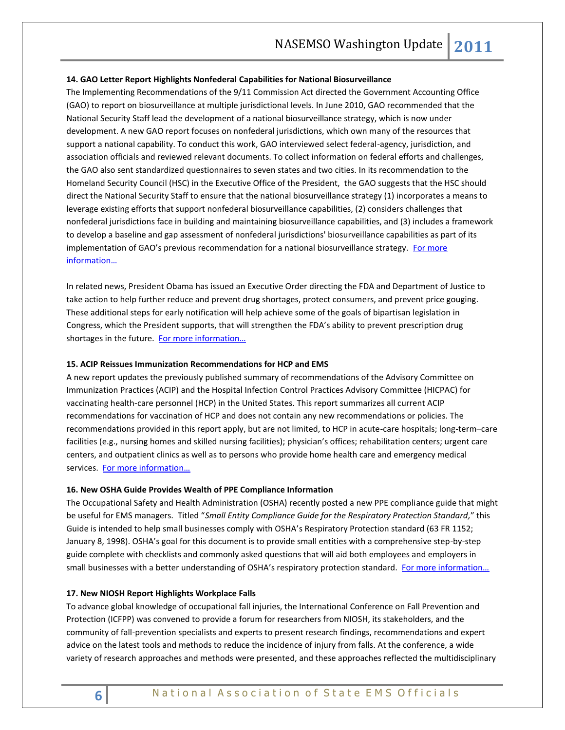# **14. GAO Letter Report Highlights Nonfederal Capabilities for National Biosurveillance**

The Implementing Recommendations of the 9/11 Commission Act directed the Government Accounting Office (GAO) to report on biosurveillance at multiple jurisdictional levels. In June 2010, GAO recommended that the National Security Staff lead the development of a national biosurveillance strategy, which is now under development. A new GAO report focuses on nonfederal jurisdictions, which own many of the resources that support a national capability. To conduct this work, GAO interviewed select federal-agency, jurisdiction, and association officials and reviewed relevant documents. To collect information on federal efforts and challenges, the GAO also sent standardized questionnaires to seven states and two cities. In its recommendation to the Homeland Security Council (HSC) in the Executive Office of the President, the GAO suggests that the HSC should direct the National Security Staff to ensure that the national biosurveillance strategy (1) incorporates a means to leverage existing efforts that support nonfederal biosurveillance capabilities, (2) considers challenges that nonfederal jurisdictions face in building and maintaining biosurveillance capabilities, and (3) includes a framework to develop a baseline and gap assessment of nonfederal jurisdictions' biosurveillance capabilities as part of its implementation of GAO's previous recommendation for a national biosurveillance strategy. [For more](http://www.gao.gov/products/GAO-12-55)  [information…](http://www.gao.gov/products/GAO-12-55)

In related news, President Obama has issued an Executive Order directing the FDA and Department of Justice to take action to help further reduce and prevent drug shortages, protect consumers, and prevent price gouging. These additional steps for early notification will help achieve some of the goals of bipartisan legislation in Congress, which the President supports, that will strengthen the FDA's ability to prevent prescription drug shortages in the future. For more information...

# **15. ACIP Reissues Immunization Recommendations for HCP and EMS**

A new report updates the previously published summary of recommendations of the Advisory Committee on Immunization Practices (ACIP) and the Hospital Infection Control Practices Advisory Committee (HICPAC) for vaccinating health-care personnel (HCP) in the United States. This report summarizes all current ACIP recommendations for vaccination of HCP and does not contain any new recommendations or policies. The recommendations provided in this report apply, but are not limited, to HCP in acute-care hospitals; long-term–care facilities (e.g., nursing homes and skilled nursing facilities); physician's offices; rehabilitation centers; urgent care centers, and outpatient clinics as well as to persons who provide home health care and emergency medical services. [For more information…](http://www.cdc.gov/mmwr/preview/mmwrhtml/rr6007a1.htm?s_cid=rr6007a1_w)

#### **16. New OSHA Guide Provides Wealth of PPE Compliance Information**

The Occupational Safety and Health Administration (OSHA) recently posted a new PPE compliance guide that might be useful for EMS managers. Titled "*Small Entity Compliance Guide for the Respiratory Protection Standard,*" this Guide is intended to help small businesses comply with OSHA's Respiratory Protection standard (63 FR 1152; January 8, 1998). OSHA's goal for this document is to provide small entities with a comprehensive step-by-step guide complete with checklists and commonly asked questions that will aid both employees and employers in small businesses with a better understanding of OSHA's respiratory protection standard. For more information...

# **17. New NIOSH Report Highlights Workplace Falls**

To advance global knowledge of occupational fall injuries, the International Conference on Fall Prevention and Protection (ICFPP) was convened to provide a forum for researchers from NIOSH, its stakeholders, and the community of fall-prevention specialists and experts to present research findings, recommendations and expert advice on the latest tools and methods to reduce the incidence of injury from falls. At the conference, a wide variety of research approaches and methods were presented, and these approaches reflected the multidisciplinary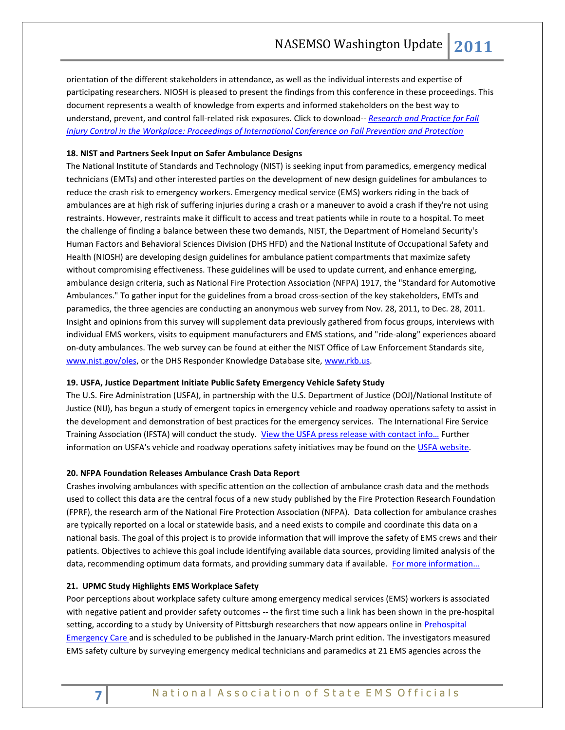orientation of the different stakeholders in attendance, as well as the individual interests and expertise of participating researchers. NIOSH is pleased to present the findings from this conference in these proceedings. This document represents a wealth of knowledge from experts and informed stakeholders on the best way to understand, prevent, and control fall-related risk exposures. Click to download-- *[Research and Practice for Fall](http://www.cdc.gov/niosh/docs/2012-103/pdfs/2012-103.pdf)  [Injury Control in the Workplace: Proceedings of International Conference on Fall Prevention and Protection](http://www.cdc.gov/niosh/docs/2012-103/pdfs/2012-103.pdf)*

# **18. NIST and Partners Seek Input on Safer Ambulance Designs**

The National Institute of Standards and Technology (NIST) is seeking input from paramedics, emergency medical technicians (EMTs) and other interested parties on the development of new design guidelines for ambulances to reduce the crash risk to emergency workers. Emergency medical service (EMS) workers riding in the back of ambulances are at high risk of suffering injuries during a crash or a maneuver to avoid a crash if they're not using restraints. However, restraints make it difficult to access and treat patients while in route to a hospital. To meet the challenge of finding a balance between these two demands, NIST, the Department of Homeland Security's Human Factors and Behavioral Sciences Division (DHS HFD) and the National Institute of Occupational Safety and Health (NIOSH) are developing design guidelines for ambulance patient compartments that maximize safety without compromising effectiveness. These guidelines will be used to update current, and enhance emerging, ambulance design criteria, such as National Fire Protection Association (NFPA) 1917, the "Standard for Automotive Ambulances." To gather input for the guidelines from a broad cross-section of the key stakeholders, EMTs and paramedics, the three agencies are conducting an anonymous web survey from Nov. 28, 2011, to Dec. 28, 2011. Insight and opinions from this survey will supplement data previously gathered from focus groups, interviews with individual EMS workers, visits to equipment manufacturers and EMS stations, and "ride-along" experiences aboard on-duty ambulances. The web survey can be found at either the NIST Office of Law Enforcement Standards site, [www.nist.gov/oles,](http://www.nist.gov/oles/index.cfm) or the DHS Responder Knowledge Database site, [www.rkb.us.](http://www.nist.gov/nist-exit-script.cfm?url=http://www.rkb.us)

# **19. USFA, Justice Department Initiate Public Safety Emergency Vehicle Safety Study**

The U.S. Fire Administration (USFA), in partnership with the U.S. Department of Justice (DOJ)/National Institute of Justice (NIJ), has begun a study of emergent topics in emergency vehicle and roadway operations safety to assist in the development and demonstration of best practices for the emergency services. The International Fire Service Training Association (IFSTA) will conduct the study. View the USFA press release with contact info... Further information on USFA's vehicle and roadway operations safety initiatives may be found on th[e USFA website.](http://www.usfa.fema.gov/fireservice/research/safety/vehicle-roadway.shtm)

# **20. NFPA Foundation Releases Ambulance Crash Data Report**

Crashes involving ambulances with specific attention on the collection of ambulance crash data and the methods used to collect this data are the central focus of a new study published by the Fire Protection Research Foundation (FPRF), the research arm of the National Fire Protection Association (NFPA). Data collection for ambulance crashes are typically reported on a local or statewide basis, and a need exists to compile and coordinate this data on a national basis. The goal of this project is to provide information that will improve the safety of EMS crews and their patients. Objectives to achieve this goal include identifying available data sources, providing limited analysis of the data, recommending optimum data formats, and providing summary data if available. [For more information…](http://www.nfpa.org/assets/files/Research%20Foundation/RFAmbulanceCrash.pdf)

# **21. UPMC Study Highlights EMS Workplace Safety**

Poor perceptions about workplace safety culture among emergency medical services (EMS) workers is associated with negative patient and provider safety outcomes -- the first time such a link has been shown in the pre-hospital setting, according to a study by University of Pittsburgh researchers that now appears online in [Prehospital](http://informahealthcare.com/doi/abs/10.3109/10903127.2011.614048)  [Emergency Care](http://informahealthcare.com/doi/abs/10.3109/10903127.2011.614048) and is scheduled to be published in the January-March print edition. The investigators measured EMS safety culture by surveying emergency medical technicians and paramedics at 21 EMS agencies across the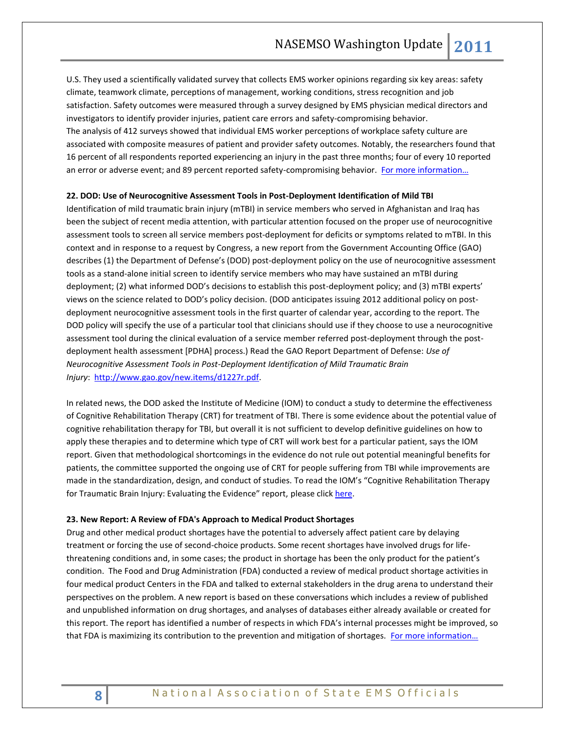U.S. They used a scientifically validated survey that collects EMS worker opinions regarding six key areas: safety climate, teamwork climate, perceptions of management, working conditions, stress recognition and job satisfaction. Safety outcomes were measured through a survey designed by EMS physician medical directors and investigators to identify provider injuries, patient care errors and safety-compromising behavior. The analysis of 412 surveys showed that individual EMS worker perceptions of workplace safety culture are associated with composite measures of patient and provider safety outcomes. Notably, the researchers found that 16 percent of all respondents reported experiencing an injury in the past three months; four of every 10 reported an error or adverse event; and 89 percent reported safety-compromising behavior. For more information...

# **22. DOD: Use of Neurocognitive Assessment Tools in Post-Deployment Identification of Mild TBI**

Identification of mild traumatic brain injury (mTBI) in service members who served in Afghanistan and Iraq has been the subject of recent media attention, with particular attention focused on the proper use of neurocognitive assessment tools to screen all service members post-deployment for deficits or symptoms related to mTBI. In this context and in response to a request by Congress, a new report from the Government Accounting Office (GAO) describes (1) the Department of Defense's (DOD) post-deployment policy on the use of neurocognitive assessment tools as a stand-alone initial screen to identify service members who may have sustained an mTBI during deployment; (2) what informed DOD's decisions to establish this post-deployment policy; and (3) mTBI experts' views on the science related to DOD's policy decision. (DOD anticipates issuing 2012 additional policy on postdeployment neurocognitive assessment tools in the first quarter of calendar year, according to the report. The DOD policy will specify the use of a particular tool that clinicians should use if they choose to use a neurocognitive assessment tool during the clinical evaluation of a service member referred post-deployment through the postdeployment health assessment [PDHA] process.) Read the GAO Report Department of Defense: *Use of Neurocognitive Assessment Tools in Post-Deployment Identification of Mild Traumatic Brain Injury*: [http://www.gao.gov/new.items/d1227r.pdf.](http://www.gao.gov/new.items/d1227r.pdf)

In related news, the DOD asked the Institute of Medicine (IOM) to conduct a study to determine the effectiveness of Cognitive Rehabilitation Therapy (CRT) for treatment of TBI. There is some evidence about the potential value of cognitive rehabilitation therapy for TBI, but overall it is not sufficient to develop definitive guidelines on how to apply these therapies and to determine which type of CRT will work best for a particular patient, says the IOM report. Given that methodological shortcomings in the evidence do not rule out potential meaningful benefits for patients, the committee supported the ongoing use of CRT for people suffering from TBI while improvements are made in the standardization, design, and conduct of studies. To read the IOM's "Cognitive Rehabilitation Therapy for Traumatic Brain Injury: Evaluating the Evidence" report, please clic[k here.](http://iom.edu/Reports/2011/Cognitive-Rehabilitation-Therapy-for-Traumatic-Brain-Injury-Evaluating-the-Evidence.aspx)

#### **23. New Report: A Review of FDA's Approach to Medical Product Shortages**

Drug and other medical product shortages have the potential to adversely affect patient care by delaying treatment or forcing the use of second-choice products. Some recent shortages have involved drugs for lifethreatening conditions and, in some cases; the product in shortage has been the only product for the patient's condition. The Food and Drug Administration (FDA) conducted a review of medical product shortage activities in four medical product Centers in the FDA and talked to external stakeholders in the drug arena to understand their perspectives on the problem. A new report is based on these conversations which includes a review of published and unpublished information on drug shortages, and analyses of databases either already available or created for this report. The report has identified a number of respects in which FDA's internal processes might be improved, so that FDA is maximizing its contribution to the prevention and mitigation of shortages. [For more informatio](http://www.fda.gov/AboutFDA/ReportsManualsForms/Reports/ucm275051.htm)n...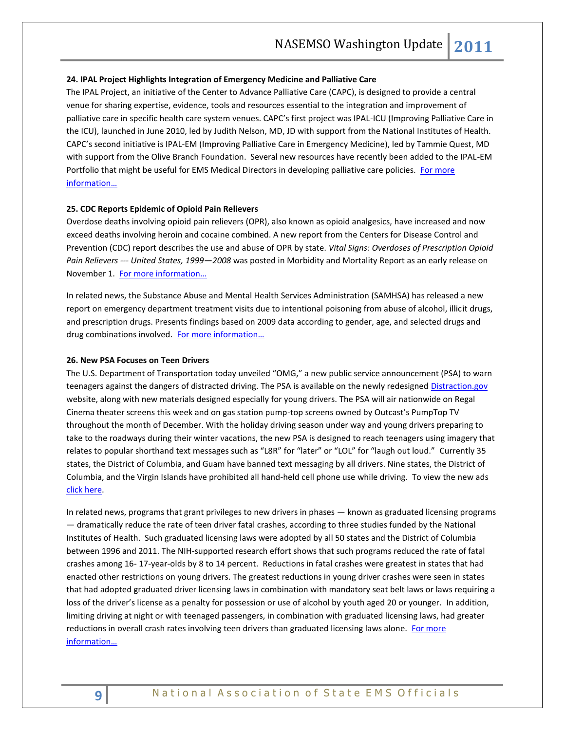#### **24. IPAL Project Highlights Integration of Emergency Medicine and Palliative Care**

The IPAL Project, an initiative of the Center to Advance Palliative Care (CAPC), is designed to provide a central venue for sharing expertise, evidence, tools and resources essential to the integration and improvement of palliative care in specific health care system venues. CAPC's first project was IPAL-ICU (Improving Palliative Care in the ICU), launched in June 2010, led by Judith Nelson, MD, JD with support from the National Institutes of Health. CAPC's second initiative is IPAL-EM (Improving Palliative Care in Emergency Medicine), led by Tammie Quest, MD with support from the Olive Branch Foundation. Several new resources have recently been added to the IPAL-EM Portfolio that might be useful for EMS Medical Directors in developing palliative care policies. For more [information…](http://www.capc.org/ipal/ipal-em/monographs-and-publications)

### **25. CDC Reports Epidemic of Opioid Pain Relievers**

Overdose deaths involving opioid pain relievers (OPR), also known as opioid analgesics, have increased and now exceed deaths involving heroin and cocaine combined. A new report from the Centers for Disease Control and Prevention (CDC) report describes the use and abuse of OPR by state. *Vital Signs: Overdoses of Prescription Opioid Pain Relievers --- United States, 1999—2008* was posted in Morbidity and Mortality Report as an early release on November 1. [For more information…](http://www.cdc.gov/mmwr/preview/mmwrhtml/mm6043a4.htm?s_cid=mm6043a4_w)

In related news, the Substance Abuse and Mental Health Services Administration (SAMHSA) has released a new report on emergency department treatment visits due to intentional poisoning from abuse of alcohol, illicit drugs, and prescription drugs. Presents findings based on 2009 data according to gender, age, and selected drugs and drug combinations involved. For more information...

# **26. New PSA Focuses on Teen Drivers**

The U.S. Department of Transportation today unveiled "OMG," a new public service announcement (PSA) to warn teenagers against the dangers of distracted driving. The PSA is available on the newly redesigned [Distraction.gov](http://links.govdelivery.com/track?type=click&enid=ZWFzPTEmbWFpbGluZ2lkPTIwMTExMTI4LjQxNDE5ODEmbWVzc2FnZWlkPU1EQi1QUkQtQlVMLTIwMTExMTI4LjQxNDE5ODEmZGF0YWJhc2VpZD0xMDAxJnNlcmlhbD0xNjc5MTkyMyZlbWFpbGlkPXJvYmluc29uQG5hc2Vtc28ub3JnJnVzZXJpZD1yb2JpbnNvbkBuYXNlbXNvLm9yZyZmbD0mZXh0cmE9TXVsdGl2YXJpYXRlSWQ9JiYm&&&100&&&http://www.distraction.gov/) website, along with new materials designed especially for young drivers. The PSA will air nationwide on Regal Cinema theater screens this week and on gas station pump-top screens owned by Outcast's PumpTop TV throughout the month of December. With the holiday driving season under way and young drivers preparing to take to the roadways during their winter vacations, the new PSA is designed to reach teenagers using imagery that relates to popular shorthand text messages such as "L8R" for "later" or "LOL" for "laugh out loud." Currently 35 states, the District of Columbia, and Guam have banned text messaging by all drivers. Nine states, the District of Columbia, and the Virgin Islands have prohibited all hand-held cell phone use while driving. To view the new ads [click here.](http://links.govdelivery.com/track?type=click&enid=ZWFzPTEmbWFpbGluZ2lkPTIwMTExMTI4LjQxNDE5ODEmbWVzc2FnZWlkPU1EQi1QUkQtQlVMLTIwMTExMTI4LjQxNDE5ODEmZGF0YWJhc2VpZD0xMDAxJnNlcmlhbD0xNjc5MTkyMyZlbWFpbGlkPXJvYmluc29uQG5hc2Vtc28ub3JnJnVzZXJpZD1yb2JpbnNvbkBuYXNlbXNvLm9yZyZmbD0mZXh0cmE9TXVsdGl2YXJpYXRlSWQ9JiYm&&&102&&&http://www.distraction.gov/teens)

In related news, programs that grant privileges to new drivers in phases — known as graduated licensing programs — dramatically reduce the rate of teen driver fatal crashes, according to three studies funded by the National Institutes of Health. Such graduated licensing laws were adopted by all 50 states and the District of Columbia between 1996 and 2011. The NIH-supported research effort shows that such programs reduced the rate of fatal crashes among 16- 17-year-olds by 8 to 14 percent. Reductions in fatal crashes were greatest in states that had enacted other restrictions on young drivers. The greatest reductions in young driver crashes were seen in states that had adopted graduated driver licensing laws in combination with mandatory seat belt laws or laws requiring a loss of the driver's license as a penalty for possession or use of alcohol by youth aged 20 or younger. In addition, limiting driving at night or with teenaged passengers, in combination with graduated licensing laws, had greater reductions in overall crash rates involving teen drivers than graduated licensing laws alone. For more [information…](http://www.nih.gov/news/health/nov2011/nichd-04.htm)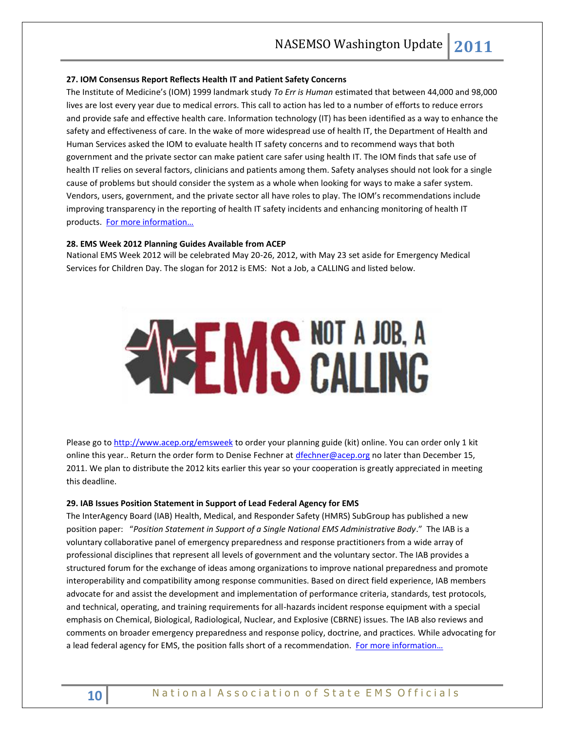### **27. IOM Consensus Report Reflects Health IT and Patient Safety Concerns**

The Institute of Medicine's (IOM) 1999 landmark study *To Err is Human* estimated that between 44,000 and 98,000 lives are lost every year due to medical errors. This call to action has led to a number of efforts to reduce errors and provide safe and effective health care. Information technology (IT) has been identified as a way to enhance the safety and effectiveness of care. In the wake of more widespread use of health IT, the Department of Health and Human Services asked the IOM to evaluate health IT safety concerns and to recommend ways that both government and the private sector can make patient care safer using health IT. The IOM finds that safe use of health IT relies on several factors, clinicians and patients among them. Safety analyses should not look for a single cause of problems but should consider the system as a whole when looking for ways to make a safer system. Vendors, users, government, and the private sector all have roles to play. The IOM's recommendations include improving transparency in the reporting of health IT safety incidents and enhancing monitoring of health IT products. For more information...

# **28. EMS Week 2012 Planning Guides Available from ACEP**

National EMS Week 2012 will be celebrated May 20-26, 2012, with May 23 set aside for Emergency Medical Services for Children Day. The slogan for 2012 is EMS: Not a Job, a CALLING and listed below.

# **EMS CALLING**

Please go t[o http://www.acep.org/emsweek](http://www.acep.org/emsweek) to order your planning guide (kit) online. You can order only 1 kit online this year.. Return the order form to Denise Fechner at [dfechner@acep.org](mailto:dfechner@acep.org) no later than December 15, 2011. We plan to distribute the 2012 kits earlier this year so your cooperation is greatly appreciated in meeting this deadline.

# **29. IAB Issues Position Statement in Support of Lead Federal Agency for EMS**

The InterAgency Board (IAB) Health, Medical, and Responder Safety (HMRS) SubGroup has published a new position paper: "*Position Statement in Support of a Single National EMS Administrative Body*." The IAB is a voluntary collaborative panel of emergency preparedness and response practitioners from a wide array of professional disciplines that represent all levels of government and the voluntary sector. The IAB provides a structured forum for the exchange of ideas among organizations to improve national preparedness and promote interoperability and compatibility among response communities. Based on direct field experience, IAB members advocate for and assist the development and implementation of performance criteria, standards, test protocols, and technical, operating, and training requirements for all-hazards incident response equipment with a special emphasis on Chemical, Biological, Radiological, Nuclear, and Explosive (CBRNE) issues. The IAB also reviews and comments on broader emergency preparedness and response policy, doctrine, and practices. While advocating for a lead federal agency for EMS, the position falls short of a recommendation. For more information...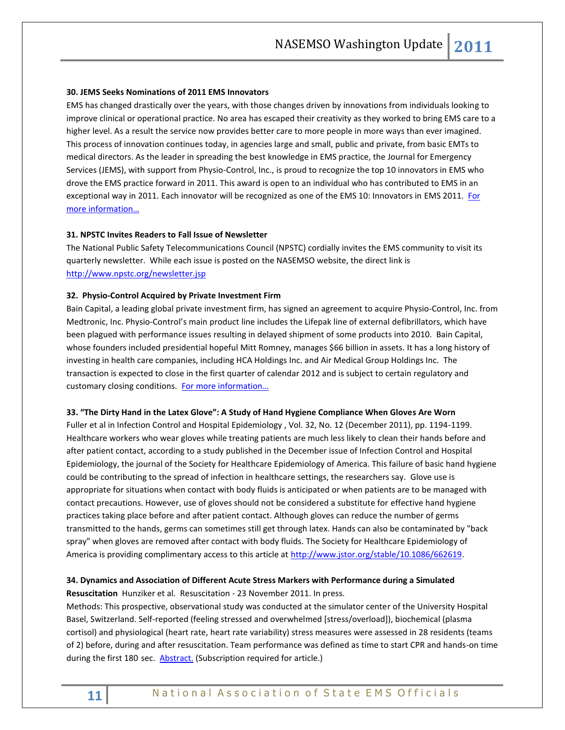# **30. JEMS Seeks Nominations of 2011 EMS Innovators**

EMS has changed drastically over the years, with those changes driven by innovations from individuals looking to improve clinical or operational practice. No area has escaped their creativity as they worked to bring EMS care to a higher level. As a result the service now provides better care to more people in more ways than ever imagined. This process of innovation continues today, in agencies large and small, public and private, from basic EMTs to medical directors. As the leader in spreading the best knowledge in EMS practice, the Journal for Emergency Services (JEMS), with support from Physio-Control, Inc., is proud to recognize the top 10 innovators in EMS who drove the EMS practice forward in 2011. This award is open to an individual who has contributed to EMS in an exceptional way in 2011. Each innovator will be recognized as one of the EMS 10: Innovators in EMS 2011. For [more information…](http://www.jems.com/EMS10)

# **31. NPSTC Invites Readers to Fall Issue of Newsletter**

The National Public Safety Telecommunications Council (NPSTC) cordially invites the EMS community to visit its quarterly newsletter. While each issue is posted on the NASEMSO website, the direct link is <http://www.npstc.org/newsletter.jsp>

# **32. Physio-Control Acquired by Private Investment Firm**

Bain Capital, a leading global private investment firm, has signed an agreement to acquire Physio-Control, Inc. from Medtronic, Inc. Physio-Control's main product line includes the Lifepak line of external defibrillators, which have been plagued with performance issues resulting in delayed shipment of some products into 2010. Bain Capital, whose founders included presidential hopeful Mitt Romney, manages \$66 billion in assets. It has a long history of investing in health care companies, including HCA Holdings Inc. and Air Medical Group Holdings Inc. The transaction is expected to close in the first quarter of calendar 2012 and is subject to certain regulatory and customary closing conditions. [For more information](http://www.physio-control.com/)…

#### **33. "The Dirty Hand in the Latex Glove": A Study of Hand Hygiene Compliance When Gloves Are Worn**

Fuller et al in Infection Control and Hospital Epidemiology , Vol. 32, No. 12 (December 2011), pp. 1194-1199. Healthcare workers who wear gloves while treating patients are much less likely to clean their hands before and after patient contact, according to a study published in the December issue of Infection Control and Hospital Epidemiology, the journal of the Society for Healthcare Epidemiology of America. This failure of basic hand hygiene could be contributing to the spread of infection in healthcare settings, the researchers say. Glove use is appropriate for situations when contact with body fluids is anticipated or when patients are to be managed with contact precautions. However, use of gloves should not be considered a substitute for effective hand hygiene practices taking place before and after patient contact. Although gloves can reduce the number of germs transmitted to the hands, germs can sometimes still get through latex. Hands can also be contaminated by "back spray" when gloves are removed after contact with body fluids. The Society for Healthcare Epidemiology of America is providing complimentary access to this article at [http://www.jstor.org/stable/10.1086/662619.](http://www.jstor.org/stable/10.1086/662619)

# **34. Dynamics and Association of Different Acute Stress Markers with Performance during a Simulated Resuscitation** Hunziker et al. Resuscitation - 23 November 2011. In press.

Methods: This prospective, observational study was conducted at the simulator center of the University Hospital Basel, Switzerland. Self-reported (feeling stressed and overwhelmed [stress/overload]), biochemical (plasma cortisol) and physiological (heart rate, heart rate variability) stress measures were assessed in 28 residents (teams of 2) before, during and after resuscitation. Team performance was defined as time to start CPR and hands-on time during the first 180 sec. **Abstract**. (Subscription required for article.)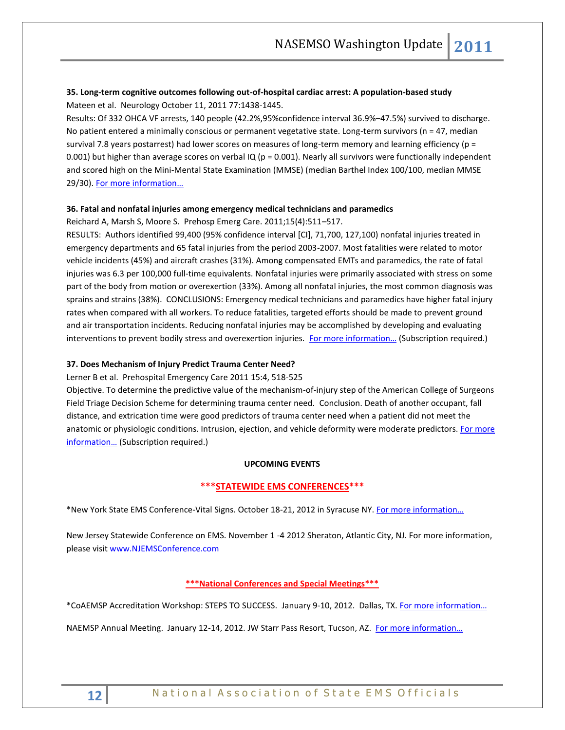# **35. Long-term cognitive outcomes following out-of-hospital cardiac arrest: A population-based study** Mateen et al. Neurology October 11, 2011 77:1438-1445.

Results: Of 332 OHCA VF arrests, 140 people (42.2%,95%confidence interval 36.9%–47.5%) survived to discharge. No patient entered a minimally conscious or permanent vegetative state. Long-term survivors (n = 47, median survival 7.8 years postarrest) had lower scores on measures of long-term memory and learning efficiency (p = 0.001) but higher than average scores on verbal IQ ( $p = 0.001$ ). Nearly all survivors were functionally independent and scored high on the Mini-Mental State Examination (MMSE) (median Barthel Index 100/100, median MMSE 29/30). [For more information…](http://www.neurology.org/content/77/15/1438.full.html)

# **36. Fatal and nonfatal injuries among emergency medical technicians and paramedics**

Reichard A, Marsh S, Moore S. Prehosp Emerg Care. 2011;15(4):511–517.

RESULTS: Authors identified 99,400 (95% confidence interval [CI], 71,700, 127,100) nonfatal injuries treated in emergency departments and 65 fatal injuries from the period 2003-2007. Most fatalities were related to motor vehicle incidents (45%) and aircraft crashes (31%). Among compensated EMTs and paramedics, the rate of fatal injuries was 6.3 per 100,000 full-time equivalents. Nonfatal injuries were primarily associated with stress on some part of the body from motion or overexertion (33%). Among all nonfatal injuries, the most common diagnosis was sprains and strains (38%). CONCLUSIONS: Emergency medical technicians and paramedics have higher fatal injury rates when compared with all workers. To reduce fatalities, targeted efforts should be made to prevent ground and air transportation incidents. Reducing nonfatal injuries may be accomplished by developing and evaluating interventions to prevent bodily stress and overexertion injuries. For more information... (Subscription required.)

# **37. Does Mechanism of Injury Predict Trauma Center Need?**

# Lerner B et al. Prehospital Emergency Care 2011 15:4, 518-525

Objective. To determine the predictive value of the mechanism-of-injury step of the American College of Surgeons Field Triage Decision Scheme for determining trauma center need. Conclusion. Death of another occupant, fall distance, and extrication time were good predictors of trauma center need when a patient did not meet the anatomic or physiologic conditions. Intrusion, ejection, and vehicle deformity were moderate predictors. For more [information…](http://informahealthcare.com/doi/abs/10.3109/10903127.2011.598617) (Subscription required.)

# **UPCOMING EVENTS**

# **\*\*\*STATEWIDE EMS CONFERENCES\*\*\***

\*New York State EMS Conference-Vital Signs. October 18-21, 2012 in Syracuse NY. [For more information…](http://www.vitalsignsconference.com/)

New Jersey Statewide Conference on EMS. November 1 -4 2012 Sheraton, Atlantic City, NJ. For more information, please visit www.NJEMSConference.com

# **\*\*\*National Conferences and Special Meetings\*\*\***

\*CoAEMSP Accreditation Workshop: STEPS TO SUCCESS. January 9-10, 2012. Dallas, TX. [For more information…](http://events.r20.constantcontact.com/register/event?oeidk=a07e5ckfc3900f0030d&llr=5sz87kdab)

NAEMSP Annual Meeting. January 12-14, 2012. JW Starr Pass Resort, Tucson, AZ. For more information...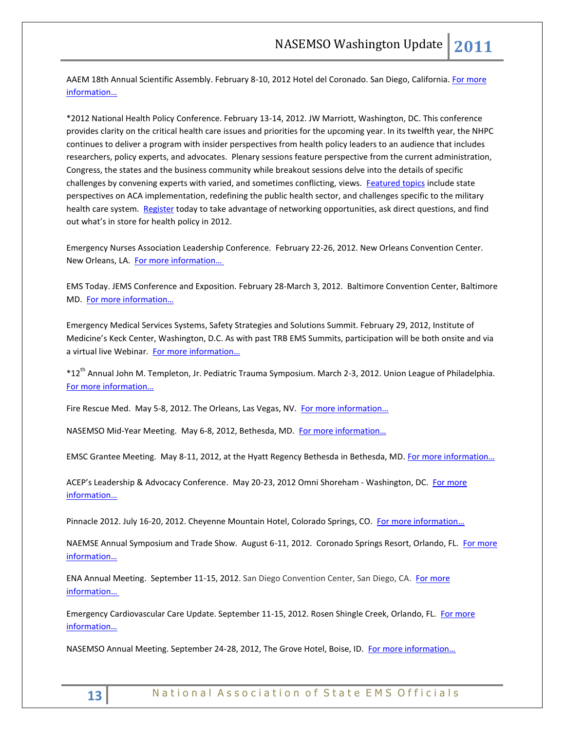AAEM 18th Annual Scientific Assembly. February 8-10, 2012 Hotel del Coronado. San Diego, California. For more [information…](http://www.aaem.org/education/scientificassembly/)

\*2012 National Health Policy Conference. February 13-14, 2012. JW Marriott, Washington, DC. This conference provides clarity on the critical health care issues and priorities for the upcoming year. In its twelfth year, the NHPC continues to deliver a program with insider perspectives from health policy leaders to an audience that includes researchers, policy experts, and advocates. Plenary sessions feature perspective from the current administration, Congress, the states and the business community while breakout sessions delve into the details of specific challenges by convening experts with varied, and sometimes conflicting, views. [Featured topics](http://www.academyhealth.org/Events/events.cfm?ItemNumber=2568&navItemNumber=2012) include state perspectives on ACA implementation, redefining the public health sector, and challenges specific to the military health care system. [Register](http://academyhealth.org/content.cfm?ItemNumber=1569&navItemNumber=2017) today to take advantage of networking opportunities, ask direct questions, and find out what's in store for health policy in 2012.

Emergency Nurses Association Leadership Conference. February 22-26, 2012. New Orleans Convention Center. New Orleans, LA. [For more information…](http://www.ena.org/coursesandeducation/conferences/Pages/Default.aspx)

EMS Today. JEMS Conference and Exposition. February 28-March 3, 2012. Baltimore Convention Center, Baltimore MD. [For more information…](http://www.emstoday.com/)

Emergency Medical Services Systems, Safety Strategies and Solutions Summit. February 29, 2012, Institute of Medicine's Keck Center, Washington, D.C. As with past TRB EMS Summits, participation will be both onsite and via a virtual live Webinar. For more information...

\*12th Annual John M. Templeton, Jr. Pediatric Trauma Symposium. March 2-3, 2012. Union League of Philadelphia. [For more information…](http://www.chop.edu/professionals/educational-resources/continuing-medical-education/cme.html)

Fire Rescue Med. May 5-8, 2012. The Orleans, Las Vegas, NV. [For more information…](http://www.iafc.org/frm)

NASEMSO Mid-Year Meeting. May 6-8, 2012, Bethesda, MD. For more information...

EMSC Grantee Meeting. May 8-11, 2012, at the Hyatt Regency Bethesda in Bethesda, MD. For more information...

ACEP's Leadership & Advocacy Conference. May 20-23, 2012 Omni Shoreham - Washington, DC. For more [information…](http://www.acep.org/)

Pinnacle 2012. July 16-20, 2012. Cheyenne Mountain Hotel, Colorado Springs, CO. [For more information…](http://www.pinnacle-ems.com/)

NAEMSE Annual Symposium and Trade Show. August 6-11, 2012. Coronado Springs Resort, Orlando, FL. For more [information…](http://www.naemse.org/symposium)

ENA Annual Meeting. September 11-15, 2012. San Diego Convention Center, San Diego, CA. [For more](http://www.ena.org/coursesandeducation/conferences/Pages/Default.aspx)  [informatio](http://www.ena.org/coursesandeducation/conferences/Pages/Default.aspx)n…

Emergency Cardiovascular Care Update. September 11-15, 2012. Rosen Shingle Creek, Orlando, FL. For more [information…](http://www.eccu2012.com/)

NASEMSO Annual Meeting. September 24-28, 2012, The Grove Hotel, Boise, ID. For more information...